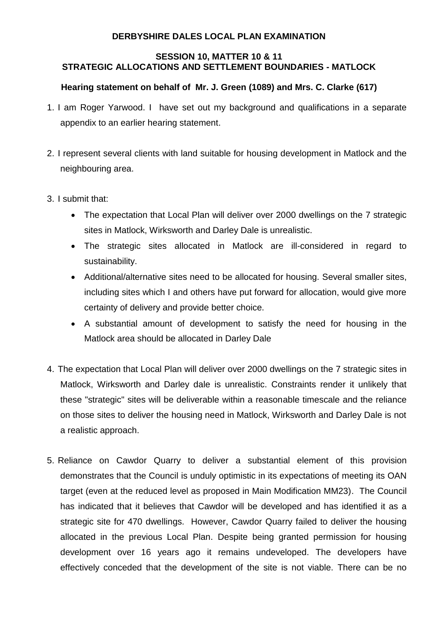## **DERBYSHIRE DALES LOCAL PLAN EXAMINATION**

## **SESSION 10, MATTER 10 & 11 STRATEGIC ALLOCATIONS AND SETTLEMENT BOUNDARIES - MATLOCK**

## **Hearing statement on behalf of Mr. J. Green (1089) and Mrs. C. Clarke (617)**

- 1. I am Roger Yarwood. I have set out my background and qualifications in a separate appendix to an earlier hearing statement.
- 2. I represent several clients with land suitable for housing development in Matlock and the neighbouring area.
- 3. I submit that:
	- The expectation that Local Plan will deliver over 2000 dwellings on the 7 strategic sites in Matlock, Wirksworth and Darley Dale is unrealistic.
	- The strategic sites allocated in Matlock are ill-considered in regard to sustainability.
	- Additional/alternative sites need to be allocated for housing. Several smaller sites, including sites which I and others have put forward for allocation, would give more certainty of delivery and provide better choice.
	- A substantial amount of development to satisfy the need for housing in the Matlock area should be allocated in Darley Dale
- 4. The expectation that Local Plan will deliver over 2000 dwellings on the 7 strategic sites in Matlock, Wirksworth and Darley dale is unrealistic. Constraints render it unlikely that these "strategic" sites will be deliverable within a reasonable timescale and the reliance on those sites to deliver the housing need in Matlock, Wirksworth and Darley Dale is not a realistic approach.
- 5. Reliance on Cawdor Quarry to deliver a substantial element of this provision demonstrates that the Council is unduly optimistic in its expectations of meeting its OAN target (even at the reduced level as proposed in Main Modification MM23). The Council has indicated that it believes that Cawdor will be developed and has identified it as a strategic site for 470 dwellings. However, Cawdor Quarry failed to deliver the housing allocated in the previous Local Plan. Despite being granted permission for housing development over 16 years ago it remains undeveloped. The developers have effectively conceded that the development of the site is not viable. There can be no